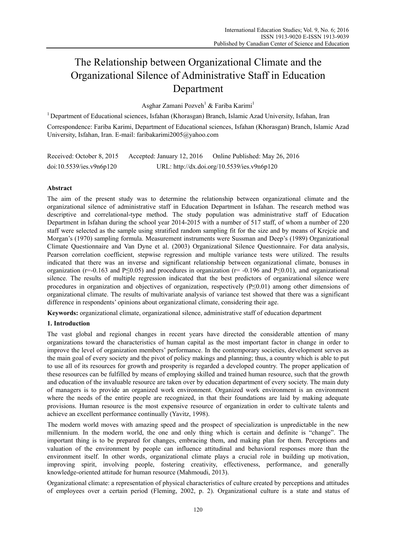# The Relationship between Organizational Climate and the Organizational Silence of Administrative Staff in Education Department

Asghar Zamani Pozveh<sup>1</sup> & Fariba Karimi<sup>1</sup>

1 Department of Educational sciences, Isfahan (Khorasgan) Branch, Islamic Azad University, Isfahan, Iran Correspondence: Fariba Karimi, Department of Educational sciences, Isfahan (Khorasgan) Branch, Islamic Azad University, Isfahan, Iran. E-mail: faribakarimi2005@yahoo.com

Received: October 8, 2015 Accepted: January 12, 2016 Online Published: May 26, 2016 doi:10.5539/ies.v9n6p120 URL: http://dx.doi.org/10.5539/ies.v9n6p120

## **Abstract**

The aim of the present study was to determine the relationship between organizational climate and the organizational silence of administrative staff in Education Department in Isfahan. The research method was descriptive and correlational-type method. The study population was administrative staff of Education Department in Isfahan during the school year 2014-2015 with a number of 517 staff, of whom a number of 220 staff were selected as the sample using stratified random sampling fit for the size and by means of Krejcie and Morgan's (1970) sampling formula. Measurement instruments were Sussman and Deep's (1989) Organizational Climate Questionnaire and Van Dyne et al. (2003) Organizational Silence Questionnaire. For data analysis, Pearson correlation coefficient, stepwise regression and multiple variance tests were utilized. The results indicated that there was an inverse and significant relationship between organizational climate, bonuses in organization ( $r=-0.163$  and  $P\leq 0.05$ ) and procedures in organization ( $r=-0.196$  and  $P\leq 0.01$ ), and organizational silence. The results of multiple regression indicated that the best predictors of organizational silence were procedures in organization and objectives of organization, respectively (P≤0.01) among other dimensions of organizational climate. The results of multivariate analysis of variance test showed that there was a significant difference in respondents' opinions about organizational climate, considering their age.

**Keywords:** organizational climate, organizational silence, administrative staff of education department

#### **1. Introduction**

The vast global and regional changes in recent years have directed the considerable attention of many organizations toward the characteristics of human capital as the most important factor in change in order to improve the level of organization members' performance. In the contemporary societies, development serves as the main goal of every society and the pivot of policy makings and planning; thus, a country which is able to put to use all of its resources for growth and prosperity is regarded a developed country. The proper application of these resources can be fulfilled by means of employing skilled and trained human resource, such that the growth and education of the invaluable resource are taken over by education department of every society. The main duty of managers is to provide an organized work environment. Organized work environment is an environment where the needs of the entire people are recognized, in that their foundations are laid by making adequate provisions. Human resource is the most expensive resource of organization in order to cultivate talents and achieve an excellent performance continually (Yavitz, 1998).

The modern world moves with amazing speed and the prospect of specialization is unpredictable in the new millennium. In the modern world, the one and only thing which is certain and definite is "change". The important thing is to be prepared for changes, embracing them, and making plan for them. Perceptions and valuation of the environment by people can influence attitudinal and behavioral responses more than the environment itself. In other words, organizational climate plays a crucial role in building up motivation, improving spirit, involving people, fostering creativity, effectiveness, performance, and generally knowledge-oriented attitude for human resource (Mahmoudi, 2013).

Organizational climate: a representation of physical characteristics of culture created by perceptions and attitudes of employees over a certain period (Fleming, 2002, p. 2). Organizational culture is a state and status of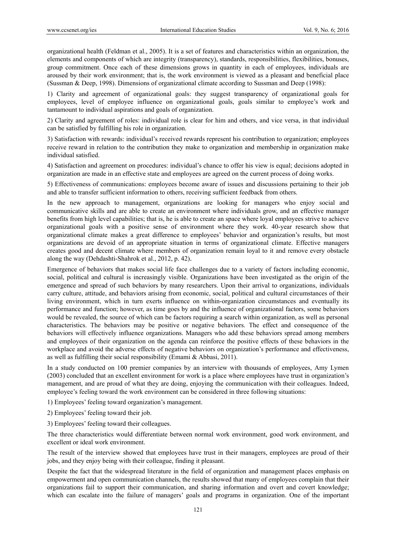organizational health (Feldman et al., 2005). It is a set of features and characteristics within an organization, the elements and components of which are integrity (transparency), standards, responsibilities, flexibilities, bonuses, group commitment. Once each of these dimensions grows in quantity in each of employees, individuals are aroused by their work environment; that is, the work environment is viewed as a pleasant and beneficial place (Sussman & Deep, 1998). Dimensions of organizational climate according to Sussman and Deep (1998):

1) Clarity and agreement of organizational goals: they suggest transparency of organizational goals for employees, level of employee influence on organizational goals, goals similar to employee's work and tantamount to individual aspirations and goals of organization.

2) Clarity and agreement of roles: individual role is clear for him and others, and vice versa, in that individual can be satisfied by fulfilling his role in organization.

3) Satisfaction with rewards: individual's received rewards represent his contribution to organization; employees receive reward in relation to the contribution they make to organization and membership in organization make individual satisfied.

4) Satisfaction and agreement on procedures: individual's chance to offer his view is equal; decisions adopted in organization are made in an effective state and employees are agreed on the current process of doing works.

5) Effectiveness of communications: employees become aware of issues and discussions pertaining to their job and able to transfer sufficient information to others, receiving sufficient feedback from others.

In the new approach to management, organizations are looking for managers who enjoy social and communicative skills and are able to create an environment where individuals grow, and an effective manager benefits from high level capabilities; that is, he is able to create an space where loyal employees strive to achieve organizational goals with a positive sense of environment where they work. 40-year research show that organizational climate makes a great difference to employees' behavior and organization's results, but most organizations are devoid of an appropriate situation in terms of organizational climate. Effective managers creates good and decent climate where members of organization remain loyal to it and remove every obstacle along the way (Dehdashti-Shahrok et al., 2012, p. 42).

Emergence of behaviors that makes social life face challenges due to a variety of factors including economic, social, political and cultural is increasingly visible. Organizations have been investigated as the origin of the emergence and spread of such behaviors by many researchers. Upon their arrival to organizations, individuals carry culture, attitude, and behaviors arising from economic, social, political and cultural circumstances of their living environment, which in turn exerts influence on within-organization circumstances and eventually its performance and function; however, as time goes by and the influence of organizational factors, some behaviors would be revealed, the source of which can be factors requiring a search within organization, as well as personal characteristics. The behaviors may be positive or negative behaviors. The effect and consequence of the behaviors will effectively influence organizations. Managers who add these behaviors spread among members and employees of their organization on the agenda can reinforce the positive effects of these behaviors in the workplace and avoid the adverse effects of negative behaviors on organization's performance and effectiveness, as well as fulfilling their social responsibility (Emami & Abbasi, 2011).

In a study conducted on 100 premier companies by an interview with thousands of employees, Amy Lymen (2003) concluded that an excellent environment for work is a place where employees have trust in organization's management, and are proud of what they are doing, enjoying the communication with their colleagues. Indeed, employee's feeling toward the work environment can be considered in three following situations:

1) Employees' feeling toward organization's management.

2) Employees' feeling toward their job.

3) Employees' feeling toward their colleagues.

The three characteristics would differentiate between normal work environment, good work environment, and excellent or ideal work environment.

The result of the interview showed that employees have trust in their managers, employees are proud of their jobs, and they enjoy being with their colleague, finding it pleasant.

Despite the fact that the widespread literature in the field of organization and management places emphasis on empowerment and open communication channels, the results showed that many of employees complain that their organizations fail to support their communication, and sharing information and overt and covert knowledge; which can escalate into the failure of managers' goals and programs in organization. One of the important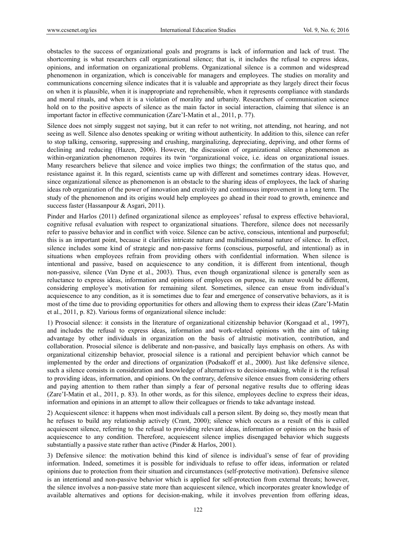obstacles to the success of organizational goals and programs is lack of information and lack of trust. The shortcoming is what researchers call organizational silence; that is, it includes the refusal to express ideas, opinions, and information on organizational problems. Organizational silence is a common and widespread phenomenon in organization, which is conceivable for managers and employees. The studies on morality and communications concerning silence indicates that it is valuable and appropriate as they largely direct their focus on when it is plausible, when it is inappropriate and reprehensible, when it represents compliance with standards and moral rituals, and when it is a violation of morality and urbanity. Researchers of communication science hold on to the positive aspects of silence as the main factor in social interaction, claiming that silence is an important factor in effective communication (Zare'I-Matin et al., 2011, p. 77).

Silence does not simply suggest not saying, but it can refer to not writing, not attending, not hearing, and not seeing as well. Silence also denotes speaking or writing without authenticity. In addition to this, silence can refer to stop talking, censoring, suppressing and crushing, marginalizing, depreciating, depriving, and other forms of declining and reducing (Hazen, 2006). However, the discussion of organizational silence phenomenon as within-organization phenomenon requires its twin "organizational voice, i.e. ideas on organizational issues. Many researchers believe that silence and voice implies two things; the confirmation of the status quo, and resistance against it. In this regard, scientists came up with different and sometimes contrary ideas. However, since organizational silence as phenomenon is an obstacle to the sharing ideas of employees, the lack of sharing ideas rob organization of the power of innovation and creativity and continuous improvement in a long term. The study of the phenomenon and its origins would help employees go ahead in their road to growth, eminence and success faster (Hassanpour & Asgari, 2011).

Pinder and Harlos (2011) defined organizational silence as employees' refusal to express effective behavioral, cognitive refusal evaluation with respect to organizational situations. Therefore, silence does not necessarily refer to passive behavior and in conflict with voice. Silence can be active, conscious, intentional and purposeful; this is an important point, because it clarifies intricate nature and multidimensional nature of silence. In effect, silence includes some kind of strategic and non-passive forms (conscious, purposeful, and intentional) as in situations when employees refrain from providing others with confidential information. When silence is intentional and passive, based on acquiescence to any condition, it is different from intentional, though non-passive, silence (Van Dyne et al., 2003). Thus, even though organizational silence is generally seen as reluctance to express ideas, information and opinions of employees on purpose, its nature would be different, considering employee's motivation for remaining silent. Sometimes, silence can ensue from individual's acquiescence to any condition, as it is sometimes due to fear and emergence of conservative behaviors, as it is most of the time due to providing opportunities for others and allowing them to express their ideas (Zare'I-Matin et al., 2011, p. 82). Various forms of organizational silence include:

1) Prosocial silence: it consists in the literature of organizational citizenship behavior (Korsgaad et al., 1997), and includes the refusal to express ideas, information and work-related opinions with the aim of taking advantage by other individuals in organization on the basis of altruistic motivation, contribution, and collaboration. Prosocial silence is deliberate and non-passive, and basically lays emphasis on others. As with organizational citizenship behavior, prosocial silence is a rational and percipient behavior which cannot be implemented by the order and directions of organization (Podsakoff et al., 2000). Just like defensive silence, such a silence consists in consideration and knowledge of alternatives to decision-making, while it is the refusal to providing ideas, information, and opinions. On the contrary, defensive silence ensues from considering others and paying attention to them rather than simply a fear of personal negative results due to offering ideas (Zare'I-Matin et al., 2011, p. 83). In other words, as for this silence, employees decline to express their ideas, information and opinions in an attempt to allow their colleagues or friends to take advantage instead.

2) Acquiescent silence: it happens when most individuals call a person silent. By doing so, they mostly mean that he refuses to build any relationship actively (Crant, 2000); silence which occurs as a result of this is called acquiescent silence, referring to the refusal to providing relevant ideas, information or opinions on the basis of acquiescence to any condition. Therefore, acquiescent silence implies disengaged behavior which suggests substantially a passive state rather than active (Pinder & Harlos, 2001).

3) Defensive silence: the motivation behind this kind of silence is individual's sense of fear of providing information. Indeed, sometimes it is possible for individuals to refuse to offer ideas, information or related opinions due to protection from their situation and circumstances (self-protective motivation). Defensive silence is an intentional and non-passive behavior which is applied for self-protection from external threats; however, the silence involves a non-passive state more than acquiescent silence, which incorporates greater knowledge of available alternatives and options for decision-making, while it involves prevention from offering ideas,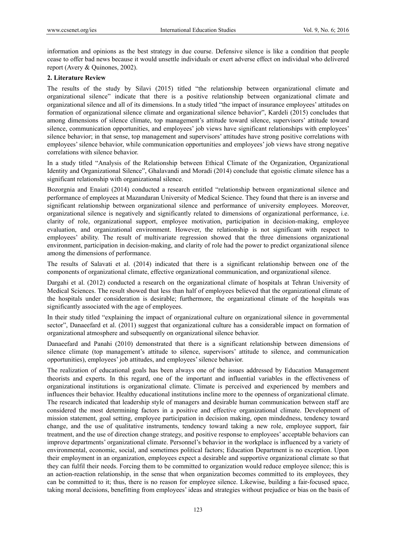information and opinions as the best strategy in due course. Defensive silence is like a condition that people cease to offer bad news because it would unsettle individuals or exert adverse effect on individual who delivered report (Avery & Quinones, 2002).

### **2. Literature Review**

The results of the study by Silavi (2015) titled "the relationship between organizational climate and organizational silence" indicate that there is a positive relationship between organizational climate and organizational silence and all of its dimensions. In a study titled "the impact of insurance employees' attitudes on formation of organizational silence climate and organizational silence behavior", Kardeli (2015) concludes that among dimensions of silence climate, top management's attitude toward silence, supervisors' attitude toward silence, communication opportunities, and employees' job views have significant relationships with employees' silence behavior; in that sense, top management and supervisors' attitudes have strong positive correlations with employees' silence behavior, while communication opportunities and employees' job views have strong negative correlations with silence behavior.

In a study titled "Analysis of the Relationship between Ethical Climate of the Organization, Organizational Identity and Organizational Silence", Ghalavandi and Moradi (2014) conclude that egoistic climate silence has a significant relationship with organizational silence.

Bozorgnia and Enaiati (2014) conducted a research entitled "relationship between organizational silence and performance of employees at Mazandaran University of Medical Science. They found that there is an inverse and significant relationship between organizational silence and performance of university employees. Moreover, organizational silence is negatively and significantly related to dimensions of organizational performance, i.e. clarity of role, organizational support, employee motivation, participation in decision-making, employee evaluation, and organizational environment. However, the relationship is not significant with respect to employees' ability. The result of multivariate regression showed that the three dimensions organizational environment, participation in decision-making, and clarity of role had the power to predict organizational silence among the dimensions of performance.

The results of Salavati et al. (2014) indicated that there is a significant relationship between one of the components of organizational climate, effective organizational communication, and organizational silence.

Dargahi et al. (2012) conducted a research on the organizational climate of hospitals at Tehran University of Medical Sciences. The result showed that less than half of employees believed that the organizational climate of the hospitals under consideration is desirable; furthermore, the organizational climate of the hospitals was significantly associated with the age of employees.

In their study titled "explaining the impact of organizational culture on organizational silence in governmental sector", Danaeefard et al. (2011) suggest that organizational culture has a considerable impact on formation of organizational atmosphere and subsequently on organizational silence behavior.

Danaeefard and Panahi (2010) demonstrated that there is a significant relationship between dimensions of silence climate (top management's attitude to silence, supervisors' attitude to silence, and communication opportunities), employees' job attitudes, and employees' silence behavior.

The realization of educational goals has been always one of the issues addressed by Education Management theorists and experts. In this regard, one of the important and influential variables in the effectiveness of organizational institutions is organizational climate. Climate is perceived and experienced by members and influences their behavior. Healthy educational institutions incline more to the openness of organizational climate. The research indicated that leadership style of managers and desirable human communication between staff are considered the most determining factors in a positive and effective organizational climate. Development of mission statement, goal setting, employee participation in decision making, open mindedness, tendency toward change, and the use of qualitative instruments, tendency toward taking a new role, employee support, fair treatment, and the use of direction change strategy, and positive response to employees' acceptable behaviors can improve departments' organizational climate. Personnel's behavior in the workplace is influenced by a variety of environmental, economic, social, and sometimes political factors; Education Department is no exception. Upon their employment in an organization, employees expect a desirable and supportive organizational climate so that they can fulfil their needs. Forcing them to be committed to organization would reduce employee silence; this is an action-reaction relationship, in the sense that when organization becomes committed to its employees, they can be committed to it; thus, there is no reason for employee silence. Likewise, building a fair-focused space, taking moral decisions, benefitting from employees' ideas and strategies without prejudice or bias on the basis of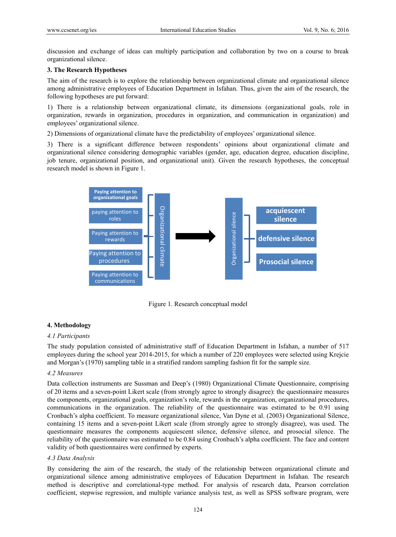discussion and exchange of ideas can multiply participation and collaboration by two on a course to break organizational silence.

#### **3. The Research Hypotheses**

The aim of the research is to explore the relationship between organizational climate and organizational silence among administrative employees of Education Department in Isfahan. Thus, given the aim of the research, the following hypotheses are put forward:

1) There is a relationship between organizational climate, its dimensions (organizational goals, role in organization, rewards in organization, procedures in organization, and communication in organization) and employees' organizational silence.

2) Dimensions of organizational climate have the predictability of employees' organizational silence.

3) There is a significant difference between respondents' opinions about organizational climate and organizational silence considering demographic variables (gender, age, education degree, education discipline, job tenure, organizational position, and organizational unit). Given the research hypotheses, the conceptual research model is shown in Figure 1.



Figure 1. Research conceptual model

## **4. Methodology**

#### *4.1 Participants*

The study population consisted of administrative staff of Education Department in Isfahan, a number of 517 employees during the school year 2014-2015, for which a number of 220 employees were selected using Krejcie and Morgan's (1970) sampling table in a stratified random sampling fashion fit for the sample size.

#### *4.2 Measures*

Data collection instruments are Sussman and Deep's (1980) Organizational Climate Questionnaire, comprising of 20 items and a seven-point Likert scale (from strongly agree to strongly disagree): the questionnaire measures the components, organizational goals, organization's role, rewards in the organization, organizational procedures, communications in the organization. The reliability of the questionnaire was estimated to be 0.91 using Cronbach's alpha coefficient. To measure organizational silence, Van Dyne et al. (2003) Organizational Silence, containing 15 items and a seven-point Likert scale (from strongly agree to strongly disagree), was used. The questionnaire measures the components acquiescent silence, defensive silence, and prosocial silence. The reliability of the questionnaire was estimated to be 0.84 using Cronbach's alpha coefficient. The face and content validity of both questionnaires were confirmed by experts. **Example 2.** The step in the step in the step in the step in the step in the step in the step in the properties of the step in the step in the step in the step in the step in the step in the step in the step in the step i

#### *4.3 Data Analysis*

By considering the aim of the research, the study of the relationship between organizational climate and organizational silence among administrative employees of Education Department in Isfahan. The research method is descriptive and correlational-type method. For analysis of research data, Pearson correlation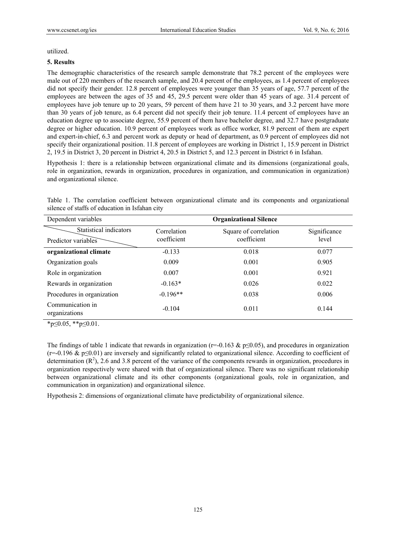utilized.

### **5. Results**

The demographic characteristics of the research sample demonstrate that 78.2 percent of the employees were male out of 220 members of the research sample, and 20.4 percent of the employees, as 1.4 percent of employees did not specify their gender. 12.8 percent of employees were younger than 35 years of age, 57.7 percent of the employees are between the ages of 35 and 45, 29.5 percent were older than 45 years of age. 31.4 percent of employees have job tenure up to 20 years, 59 percent of them have 21 to 30 years, and 3.2 percent have more than 30 years of job tenure, as 6.4 percent did not specify their job tenure. 11.4 percent of employees have an education degree up to associate degree, 55.9 percent of them have bachelor degree, and 32.7 have postgraduate degree or higher education. 10.9 percent of employees work as office worker, 81.9 percent of them are expert and expert-in-chief, 6.3 and percent work as deputy or head of department, as 0.9 percent of employees did not specify their organizational position. 11.8 percent of employees are working in District 1, 15.9 percent in District 2, 19.5 in District 3, 20 percent in District 4, 20.5 in District 5, and 12.3 percent in District 6 in Isfahan.

Hypothesis 1: there is a relationship between organizational climate and its dimensions (organizational goals, role in organization, rewards in organization, procedures in organization, and communication in organization) and organizational silence.

|  |  |                                                | Table 1. The correlation coefficient between organizational climate and its components and organizational |  |  |  |
|--|--|------------------------------------------------|-----------------------------------------------------------------------------------------------------------|--|--|--|
|  |  | silence of staffs of education in Isfahan city |                                                                                                           |  |  |  |

| Dependent variables                                  | <b>Organizational Silence</b> |                                      |                       |  |  |  |  |
|------------------------------------------------------|-------------------------------|--------------------------------------|-----------------------|--|--|--|--|
| <b>Statistical indicators</b><br>Predictor variables | Correlation<br>coefficient    | Square of correlation<br>coefficient | Significance<br>level |  |  |  |  |
| organizational climate                               | $-0.133$                      | 0.018                                | 0.077                 |  |  |  |  |
| Organization goals                                   | 0.009                         | 0.001                                | 0.905                 |  |  |  |  |
| Role in organization                                 | 0.007                         | 0.001                                | 0.921                 |  |  |  |  |
| Rewards in organization                              | $-0.163*$                     | 0.026                                | 0.022                 |  |  |  |  |
| Procedures in organization                           | $-0.196**$                    | 0.038                                | 0.006                 |  |  |  |  |
| Communication in<br>organizations                    | $-0.104$                      | 0.011                                | 0.144                 |  |  |  |  |

 $*_{p \leq 0.05}$ ,  $*_{p \leq 0.01}$ .

The findings of table 1 indicate that rewards in organization ( $r=-0.163 \& p\leq 0.05$ ), and procedures in organization  $(r=0.196 \& p\leq 0.01)$  are inversely and significantly related to organizational silence. According to coefficient of determination  $(R^2)$ , 2.6 and 3.8 percent of the variance of the components rewards in organization, procedures in organization respectively were shared with that of organizational silence. There was no significant relationship between organizational climate and its other components (organizational goals, role in organization, and communication in organization) and organizational silence.

Hypothesis 2: dimensions of organizational climate have predictability of organizational silence.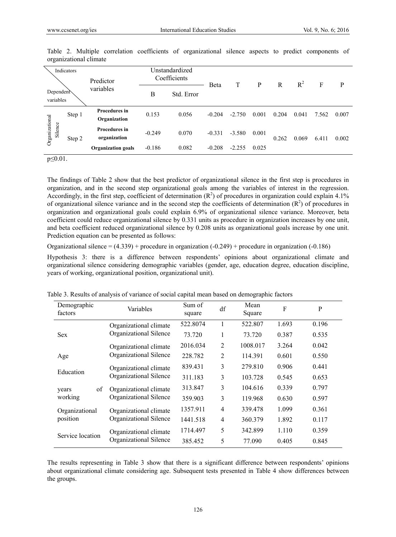|                           | Indicators | Predictor                            | Unstandardized<br>Coefficients |            | Beta     | T        | P     | R     | $R^2$ | F     | P     |
|---------------------------|------------|--------------------------------------|--------------------------------|------------|----------|----------|-------|-------|-------|-------|-------|
| Dependent<br>variables    |            | variables                            | B                              | Std. Error |          |          |       |       |       |       |       |
|                           | Step 1     | <b>Procedures</b> in<br>Organization | 0.153                          | 0.056      | $-0.204$ | $-2.750$ | 0.001 | 0.204 | 0.041 | 7.562 | 0.007 |
| Organizational<br>Silence | Step 2     | <b>Procedures</b> in<br>organization | $-0.249$                       | 0.070      | $-0.331$ | $-3.580$ | 0.001 | 0.262 | 0.069 | 6.411 | 0.002 |
|                           |            | <b>Organization goals</b>            | $-0.186$                       | 0.082      | $-0.208$ | $-2.255$ | 0.025 |       |       |       |       |

Table 2. Multiple correlation coefficients of organizational silence aspects to predict components of organizational climate

p≤0.01.

The findings of Table 2 show that the best predictor of organizational silence in the first step is procedures in organization, and in the second step organizational goals among the variables of interest in the regression. Accordingly, in the first step, coefficient of determination  $(R^2)$  of procedures in organization could explain 4.1% of organizational silence variance and in the second step the coefficients of determination  $(R^2)$  of procedures in organization and organizational goals could explain 6.9% of organizational silence variance. Moreover, beta coefficient could reduce organizational silence by 0.331 units as procedure in organization increases by one unit, and beta coefficient reduced organizational silence by 0.208 units as organizational goals increase by one unit. Prediction equation can be presented as follows:

Organizational silence  $= (4.339) +$  procedure in organization  $(-0.249) +$  procedure in organization  $(-0.186)$ 

Hypothesis 3: there is a difference between respondents' opinions about organizational climate and organizational silence considering demographic variables (gender, age, education degree, education discipline, years of working, organizational position, organizational unit).

| Demographic<br>factors | Variables              | Sum of<br>square | df             | Mean<br>Square | F     | P     |
|------------------------|------------------------|------------------|----------------|----------------|-------|-------|
|                        | Organizational climate | 522.8074         | 1              | 522.807        | 1.693 | 0.196 |
| <b>Sex</b>             | Organizational Silence | 73.720           | 1              | 73.720         | 0.387 | 0.535 |
|                        | Organizational climate | 2016.034         | $\overline{2}$ | 1008.017       | 3.264 | 0.042 |
| Age                    | Organizational Silence | 228.782          | $\overline{2}$ | 114.391        | 0.601 | 0.550 |
|                        | Organizational climate | 839.431          | 3              | 279.810        | 0.906 | 0.441 |
| Education              | Organizational Silence | 311.183          | 3              | 103.728        | 0.545 | 0.653 |
| of<br>years            | Organizational climate | 313.847          | 3              | 104.616        | 0.339 | 0.797 |
| working                | Organizational Silence | 359.903          | 3              | 119.968        | 0.630 | 0.597 |
| Organizational         | Organizational climate | 1357.911         | $\overline{4}$ | 339.478        | 1.099 | 0.361 |
| position               | Organizational Silence | 1441.518         | $\overline{4}$ | 360.379        | 1.892 | 0.117 |
|                        | Organizational climate | 1714.497         | 5              | 342.899        | 1.110 | 0.359 |
| Service location       | Organizational Silence | 385.452          | 5              | 77.090         | 0.405 | 0.845 |

Table 3. Results of analysis of variance of social capital mean based on demographic factors

The results representing in Table 3 show that there is a significant difference between respondents' opinions about organizational climate considering age. Subsequent tests presented in Table 4 show differences between the groups.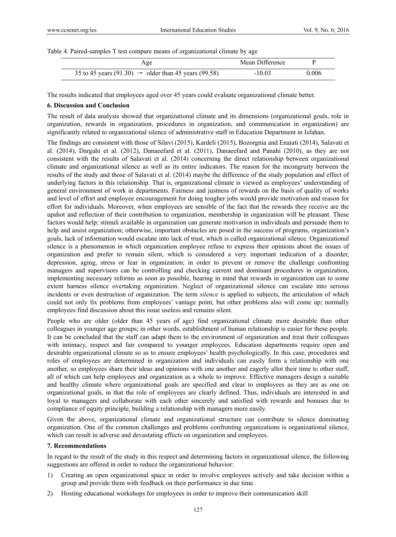Table 4. Paired-samples T test compare means of organizational climate by age

| Age                                                              | Mean Difference |       |
|------------------------------------------------------------------|-----------------|-------|
| 35 to 45 years (91.30) $\rightarrow$ older than 45 years (99.58) | $-10.03$        | 0.006 |

The results indicated that employees aged over 45 years could evaluate organizational climate better.

#### **6. Discussion and Conclusion**

The result of data analysis showed that organizational climate and its dimensions (organizational goals, role in organization, rewards in organization, procedures in organization, and communication in organization) are significantly related to organizational silence of administrative staff in Education Department in Isfahan.

The findings are consistent with those of Silavi (2015), Kardeli (2015), Bozorgnia and Enaiati (2014), Salavati et al. (2014), Dargahi et al. (2012), Danaeefard et al. (2011), Danaeefard and Panahi (2010), as they are not consistent with the results of Salavati et al. (2014) concerning the direct relationship between organizational climate and organizational silence as well as its entire indicators. The reason for the incongruity between the results of the study and those of Salavati et al. (2014) maybe the difference of the study population and effect of underlying factors in this relationship. That is, organizational climate is viewed as employees' understanding of general environment of work in departments. Fairness and justness of rewards on the basis of quality of works and level of effort and employee encouragement for doing tougher jobs would provide motivation and reason for effort for individuals. Moreover, when employees are sensible of the fact that the rewards they receive are the upshot and reflection of their contribution to organization, membership in organization will be pleasant. These factors would help; stimuli available in organization can generate motivation in individuals and persuade them to help and assist organization; otherwise, important obstacles are posed in the success of programs, organization's goals, lack of information would escalate into lack of trust, which is called organizational silence. Organizational silence is a phenomenon in which organization employee refuse to express their opinions about the issues of organization and prefer to remain silent, which is considered a very important indication of a disorder, depression, aging, stress or fear in organization; in order to prevent or remove the challenge confronting managers and supervisors can be controlling and checking current and dominant procedures in organization, implementing necessary reforms as soon as possible, bearing in mind that rewards in organization can to some extent harness silence overtaking organization. Neglect of organizational silence can escalate into serious incidents or even destruction of organization. The term *silence* is applied to subjects, the articulation of which could not only fix problems from employees' vantage point, but other problems also will come up; normally employees find discussion about this issue useless and remains silent.

People who are older (older than 45 years of age) find organizational climate more desirable than other colleagues in younger age groups; in other words, establishment of human relationship is easier for these people. It can be concluded that the staff can adapt them to the environment of organization and treat their colleagues with intimacy, respect and fair compared to younger employees. Education departments require open and desirable organizational climate so as to ensure employees' health psychologically. In this case, procedures and roles of employees are determined in organization and individuals can easily form a relationship with one another, so employees share their ideas and opinions with one another and eagerly allot their time to other staff, all of which can help employees and organization as a whole to improve. Effective managers design a suitable and healthy climate where organizational goals are specified and clear to employees as they are as one on organizational goals, in that the role of employees are clearly defined. Thus, individuals are interested in and loyal to managers and collaborate with each other sincerely and satisfied with rewards and bonuses due to compliance of equity principle, building a relationship with managers more easily.

Given the above, organizational climate and organizational structure can contribute to silence dominating organization. One of the common challenges and problems confronting organizations is organizational silence, which can result in adverse and devastating effects on organization and employees.

#### **7. Recommendations**

In regard to the result of the study in this respect and determining factors in organizational silence, the following suggestions are offered in order to reduce the organizational behavior:

- 1) Creating an open organizational space in order to involve employees actively and take decision within a group and provide them with feedback on their performance in due time.
- 2) Hosting educational workshops for employees in order to improve their communication skill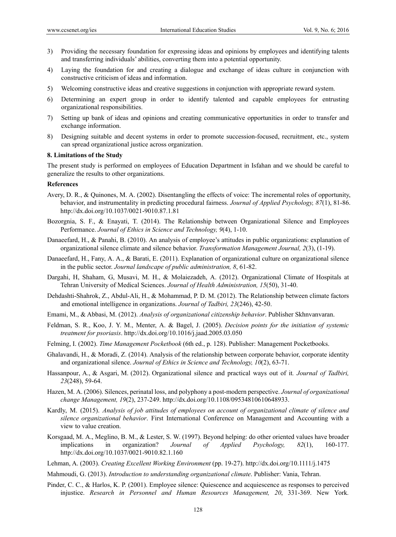- 3) Providing the necessary foundation for expressing ideas and opinions by employees and identifying talents and transferring individuals' abilities, converting them into a potential opportunity.
- 4) Laying the foundation for and creating a dialogue and exchange of ideas culture in conjunction with constructive criticism of ideas and information.
- 5) Welcoming constructive ideas and creative suggestions in conjunction with appropriate reward system.
- 6) Determining an expert group in order to identify talented and capable employees for entrusting organizational responsibilities.
- 7) Setting up bank of ideas and opinions and creating communicative opportunities in order to transfer and exchange information.
- 8) Designing suitable and decent systems in order to promote succession-focused, recruitment, etc., system can spread organizational justice across organization.

#### **8. Limitations of the Study**

The present study is performed on employees of Education Department in Isfahan and we should be careful to generalize the results to other organizations.

#### **References**

- Avery, D. R., & Quinones, M. A. (2002). Disentangling the effects of voice: The incremental roles of opportunity, behavior, and instrumentality in predicting procedural fairness. *Journal of Applied Psychology, 87*(1), 81-86. http://dx.doi.org/10.1037/0021-9010.87.1.81
- Bozorgnia, S. F., & Enayati, T. (2014). The Relationship between Organizational Silence and Employees Performance. *Journal of Ethics in Science and Technology, 9*(4), 1-10.
- Danaeefard, H., & Panahi, B. (2010). An analysis of employee's attitudes in public organizations: explanation of organizational silence climate and silence behavior. *Transformation Management Journal, 2*(3), (1-19).
- Danaeefard, H., Fany, A. A., & Barati, E. (2011). Explanation of organizational culture on organizational silence in the public sector. *Journal landscape of public administration, 8*, 61-82.
- Dargahi, H, Shaham, G, Musavi, M. H., & Molaiezadeh, A. (2012). Organizational Climate of Hospitals at Tehran University of Medical Sciences. *Journal of Health Administration, 15*(50), 31-40.
- Dehdashti-Shahrok, Z., Abdul-Ali, H., & Mohammad, P. D. M. (2012). The Relationship between climate factors and emotional intelligence in organizations. *Journal of Tadbiri, 23*(246), 42-50.
- Emami, M., & Abbasi, M. (2012). *Analysis of organizational citizenship behavior*. Publisher Skhnvanvaran.
- Feldman, S. R., Koo, J. Y. M., Menter, A. & Bagel, J. (2005). *Decision points for the initiation of systemic treatment for psoriasis*. http://dx.doi.org/10.1016/j.jaad.2005.03.050
- Felming, I. (2002). *Time Management Pocketbook* (6th ed., p. 128). Publisher: Management Pocketbooks.
- Ghalavandi, H., & Moradi, Z. (2014). Analysis of the relationship between corporate behavior, corporate identity and organizational silence. *Journal of Ethics in Science and Technology, 10*(2), 63-71.
- Hassanpour, A., & Asgari, M. (2012). Organizational silence and practical ways out of it*. Journal of Tadbiri, 23*(248), 59-64.
- Hazen, M. A. (2006). Silences, perinatal loss, and polyphony a post-modern perspective. *Journal of organizational change Management, 19*(2), 237-249. http://dx.doi.org/10.1108/09534810610648933.
- Kardly, M. (2015). *Analysis of job attitudes of employees on account of organizational climate of silence and silence organizational behavior*. First International Conference on Management and Accounting with a view to value creation.
- Korsgaad, M. A., Meglino, B. M., & Lester, S. W. (1997). Beyond helping: do other oriented values have broader implications in organization? *Journal of Applied Psychology, 82*(1), 160-177. http://dx.doi.org/10.1037/0021-9010.82.1.160
- Lehman, A. (2003). *Creating Excellent Working Environment* (pp. 19-27). http://dx.doi.org/10.1111/j.1475
- Mahmoudi, G. (2013). *Introduction to understanding organizational climate*. Publisher: Vania, Tehran.
- Pinder, C. C., & Harlos, K. P. (2001). Employee silence: Quiescence and acquiescence as responses to perceived injustice. *Research in Personnel and Human Resources Management, 20*, 331-369. New York*.*